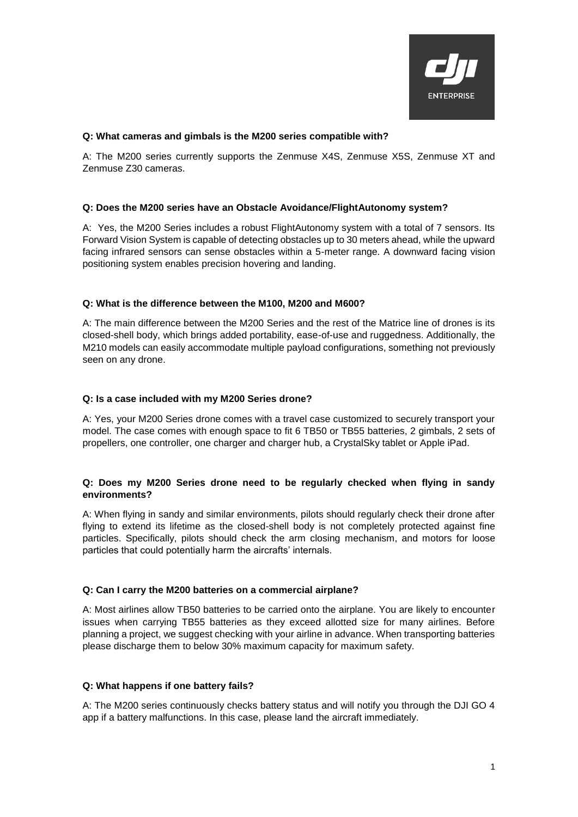

#### **Q: What cameras and gimbals is the M200 series compatible with?**

A: The M200 series currently supports the Zenmuse X4S, Zenmuse X5S, Zenmuse XT and Zenmuse Z30 cameras.

#### **Q: Does the M200 series have an Obstacle Avoidance/FlightAutonomy system?**

A: Yes, the M200 Series includes a robust FlightAutonomy system with a total of 7 sensors. Its Forward Vision System is capable of detecting obstacles up to 30 meters ahead, while the upward facing infrared sensors can sense obstacles within a 5-meter range. A downward facing vision positioning system enables precision hovering and landing.

#### **Q: What is the difference between the M100, M200 and M600?**

A: The main difference between the M200 Series and the rest of the Matrice line of drones is its closed-shell body, which brings added portability, ease-of-use and ruggedness. Additionally, the M210 models can easily accommodate multiple payload configurations, something not previously seen on any drone.

#### **Q: Is a case included with my M200 Series drone?**

A: Yes, your M200 Series drone comes with a travel case customized to securely transport your model. The case comes with enough space to fit 6 TB50 or TB55 batteries, 2 gimbals, 2 sets of propellers, one controller, one charger and charger hub, a CrystalSky tablet or Apple iPad.

# **Q: Does my M200 Series drone need to be regularly checked when flying in sandy environments?**

A: When flying in sandy and similar environments, pilots should regularly check their drone after flying to extend its lifetime as the closed-shell body is not completely protected against fine particles. Specifically, pilots should check the arm closing mechanism, and motors for loose particles that could potentially harm the aircrafts' internals.

#### **Q: Can I carry the M200 batteries on a commercial airplane?**

A: Most airlines allow TB50 batteries to be carried onto the airplane. You are likely to encounter issues when carrying TB55 batteries as they exceed allotted size for many airlines. Before planning a project, we suggest checking with your airline in advance. When transporting batteries please discharge them to below 30% maximum capacity for maximum safety.

# **Q: What happens if one battery fails?**

A: The M200 series continuously checks battery status and will notify you through the DJI GO 4 app if a battery malfunctions. In this case, please land the aircraft immediately.